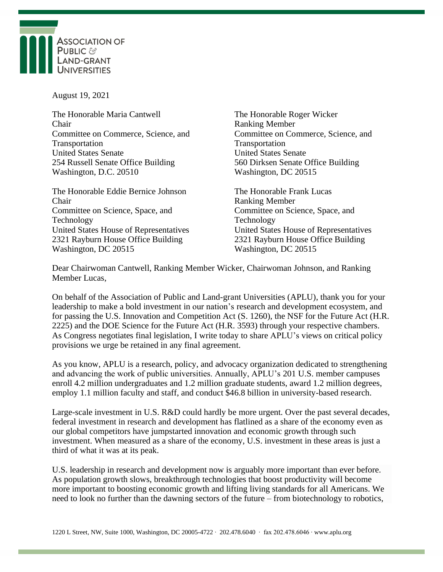

August 19, 2021

The Honorable Maria Cantwell The Honorable Roger Wicker Chair Ranking Member Transportation Transportation United States Senate United States Senate 254 Russell Senate Office Building 560 Dirksen Senate Office Building Washington, D.C. 20510 Washington, DC 20515

The Honorable Eddie Bernice Johnson The Honorable Frank Lucas Chair Ranking Member Committee on Science, Space, and Committee on Science, Space, and Technology Technology 2321 Rayburn House Office Building 2321 Rayburn House Office Building Washington, DC 20515 Washington, DC 20515

Committee on Commerce, Science, and Committee on Commerce, Science, and

United States House of Representatives United States House of Representatives

Dear Chairwoman Cantwell, Ranking Member Wicker, Chairwoman Johnson, and Ranking Member Lucas,

On behalf of the Association of Public and Land-grant Universities (APLU), thank you for your leadership to make a bold investment in our nation's research and development ecosystem, and for passing the U.S. Innovation and Competition Act (S. 1260), the NSF for the Future Act (H.R. 2225) and the DOE Science for the Future Act (H.R. 3593) through your respective chambers. As Congress negotiates final legislation, I write today to share APLU's views on critical policy provisions we urge be retained in any final agreement.

As you know, APLU is a research, policy, and advocacy organization dedicated to strengthening and advancing the work of public universities. Annually, APLU's 201 U.S. member campuses enroll 4.2 million undergraduates and 1.2 million graduate students, award 1.2 million degrees, employ 1.1 million faculty and staff, and conduct \$46.8 billion in university-based research.

Large-scale investment in U.S. R&D could hardly be more urgent. Over the past several decades, federal investment in research and development has flatlined as a share of the economy even as our global competitors have jumpstarted innovation and economic growth through such investment. When measured as a share of the economy, U.S. investment in these areas is just a third of what it was at its peak.

U.S. leadership in research and development now is arguably more important than ever before. As population growth slows, breakthrough technologies that boost productivity will become more important to boosting economic growth and lifting living standards for all Americans. We need to look no further than the dawning sectors of the future – from biotechnology to robotics,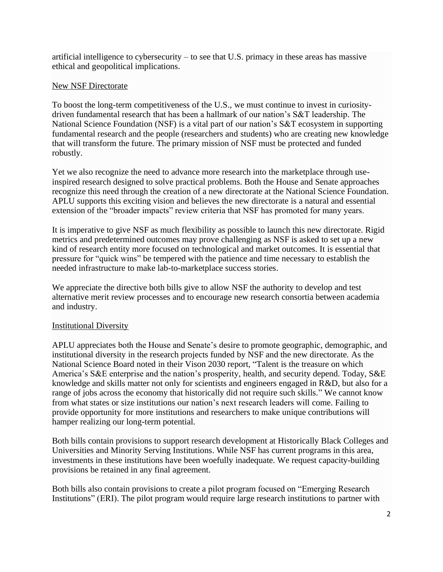artificial intelligence to cybersecurity – to see that U.S. primacy in these areas has massive ethical and geopolitical implications.

## New NSF Directorate

To boost the long-term competitiveness of the U.S., we must continue to invest in curiositydriven fundamental research that has been a hallmark of our nation's S&T leadership. The National Science Foundation (NSF) is a vital part of our nation's S&T ecosystem in supporting fundamental research and the people (researchers and students) who are creating new knowledge that will transform the future. The primary mission of NSF must be protected and funded robustly.

Yet we also recognize the need to advance more research into the marketplace through useinspired research designed to solve practical problems. Both the House and Senate approaches recognize this need through the creation of a new directorate at the National Science Foundation. APLU supports this exciting vision and believes the new directorate is a natural and essential extension of the "broader impacts" review criteria that NSF has promoted for many years.

It is imperative to give NSF as much flexibility as possible to launch this new directorate. Rigid metrics and predetermined outcomes may prove challenging as NSF is asked to set up a new kind of research entity more focused on technological and market outcomes. It is essential that pressure for "quick wins" be tempered with the patience and time necessary to establish the needed infrastructure to make lab-to-marketplace success stories.

We appreciate the directive both bills give to allow NSF the authority to develop and test alternative merit review processes and to encourage new research consortia between academia and industry.

### Institutional Diversity

APLU appreciates both the House and Senate's desire to promote geographic, demographic, and institutional diversity in the research projects funded by NSF and the new directorate. As the National Science Board noted in their Vison 2030 report, "Talent is the treasure on which America's S&E enterprise and the nation's prosperity, health, and security depend. Today, S&E knowledge and skills matter not only for scientists and engineers engaged in R&D, but also for a range of jobs across the economy that historically did not require such skills." We cannot know from what states or size institutions our nation's next research leaders will come. Failing to provide opportunity for more institutions and researchers to make unique contributions will hamper realizing our long-term potential.

Both bills contain provisions to support research development at Historically Black Colleges and Universities and Minority Serving Institutions. While NSF has current programs in this area, investments in these institutions have been woefully inadequate. We request capacity-building provisions be retained in any final agreement.

Both bills also contain provisions to create a pilot program focused on "Emerging Research Institutions" (ERI). The pilot program would require large research institutions to partner with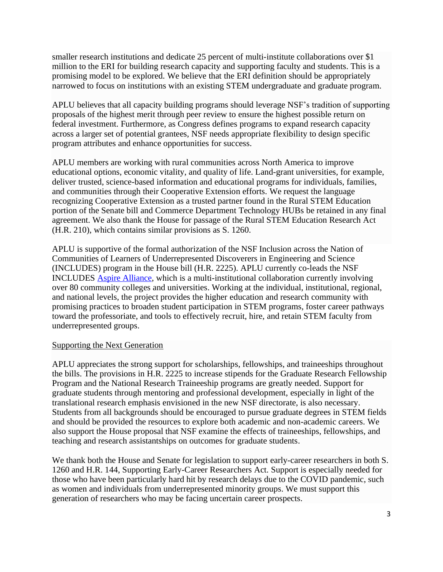smaller research institutions and dedicate 25 percent of multi-institute collaborations over \$1 million to the ERI for building research capacity and supporting faculty and students. This is a promising model to be explored. We believe that the ERI definition should be appropriately narrowed to focus on institutions with an existing STEM undergraduate and graduate program.

APLU believes that all capacity building programs should leverage NSF's tradition of supporting proposals of the highest merit through peer review to ensure the highest possible return on federal investment. Furthermore, as Congress defines programs to expand research capacity across a larger set of potential grantees, NSF needs appropriate flexibility to design specific program attributes and enhance opportunities for success.

APLU members are working with rural communities across North America to improve educational options, economic vitality, and quality of life. Land-grant universities, for example, deliver trusted, science-based information and educational programs for individuals, families, and communities through their Cooperative Extension efforts. We request the language recognizing Cooperative Extension as a trusted partner found in the Rural STEM Education portion of the Senate bill and Commerce Department Technology HUBs be retained in any final agreement. We also thank the House for passage of the Rural STEM Education Research Act (H.R. 210), which contains similar provisions as S. 1260.

APLU is supportive of the formal authorization of the NSF Inclusion across the Nation of Communities of Learners of Underrepresented Discoverers in Engineering and Science (INCLUDES) program in the House bill (H.R. 2225). APLU currently co-leads the NSF INCLUDES [Aspire Alliance,](https://www.aspirealliance.org/aspire-home) which is a multi-institutional collaboration currently involving over 80 community colleges and universities. Working at the individual, institutional, regional, and national levels, the project provides the higher education and research community with promising practices to broaden student participation in STEM programs, foster career pathways toward the professoriate, and tools to effectively recruit, hire, and retain STEM faculty from underrepresented groups.

### Supporting the Next Generation

APLU appreciates the strong support for scholarships, fellowships, and traineeships throughout the bills. The provisions in H.R. 2225 to increase stipends for the Graduate Research Fellowship Program and the National Research Traineeship programs are greatly needed. Support for graduate students through mentoring and professional development, especially in light of the translational research emphasis envisioned in the new NSF directorate, is also necessary. Students from all backgrounds should be encouraged to pursue graduate degrees in STEM fields and should be provided the resources to explore both academic and non-academic careers. We also support the House proposal that NSF examine the effects of traineeships, fellowships, and teaching and research assistantships on outcomes for graduate students.

We thank both the House and Senate for legislation to support early-career researchers in both S. 1260 and H.R. 144, Supporting Early-Career Researchers Act. Support is especially needed for those who have been particularly hard hit by research delays due to the COVID pandemic, such as women and individuals from underrepresented minority groups. We must support this generation of researchers who may be facing uncertain career prospects.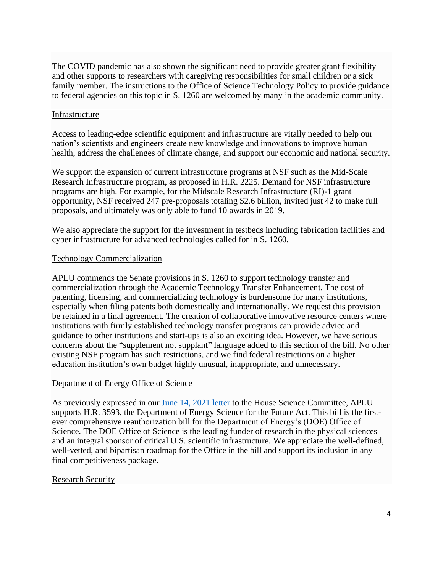The COVID pandemic has also shown the significant need to provide greater grant flexibility and other supports to researchers with caregiving responsibilities for small children or a sick family member. The instructions to the Office of Science Technology Policy to provide guidance to federal agencies on this topic in S. 1260 are welcomed by many in the academic community.

### Infrastructure

Access to leading-edge scientific equipment and infrastructure are vitally needed to help our nation's scientists and engineers create new knowledge and innovations to improve human health, address the challenges of climate change, and support our economic and national security.

We support the expansion of current infrastructure programs at NSF such as the Mid-Scale Research Infrastructure program, as proposed in H.R. 2225. Demand for NSF infrastructure programs are high. For example, for the Midscale Research Infrastructure (RI)-1 grant opportunity, NSF received 247 pre-proposals totaling \$2.6 billion, invited just 42 to make full proposals, and ultimately was only able to fund 10 awards in 2019.

We also appreciate the support for the investment in testbeds including fabrication facilities and cyber infrastructure for advanced technologies called for in S. 1260.

# Technology Commercialization

APLU commends the Senate provisions in S. 1260 to support technology transfer and commercialization through the Academic Technology Transfer Enhancement. The cost of patenting, licensing, and commercializing technology is burdensome for many institutions, especially when filing patents both domestically and internationally. We request this provision be retained in a final agreement. The creation of collaborative innovative resource centers where institutions with firmly established technology transfer programs can provide advice and guidance to other institutions and start-ups is also an exciting idea. However, we have serious concerns about the "supplement not supplant" language added to this section of the bill. No other existing NSF program has such restrictions, and we find federal restrictions on a higher education institution's own budget highly unusual, inappropriate, and unnecessary.

### Department of Energy Office of Science

As previously expressed in our [June 14, 2021 letter](https://www.aplu.org/members/councils/governmental-affairs/CGA-library/aplu-house-science-letter-on-hr-2225-and-hr-3593/file) to the House Science Committee, APLU supports H.R. 3593, the Department of Energy Science for the Future Act. This bill is the firstever comprehensive reauthorization bill for the Department of Energy's (DOE) Office of Science. The DOE Office of Science is the leading funder of research in the physical sciences and an integral sponsor of critical U.S. scientific infrastructure. We appreciate the well-defined, well-vetted, and bipartisan roadmap for the Office in the bill and support its inclusion in any final competitiveness package.

### Research Security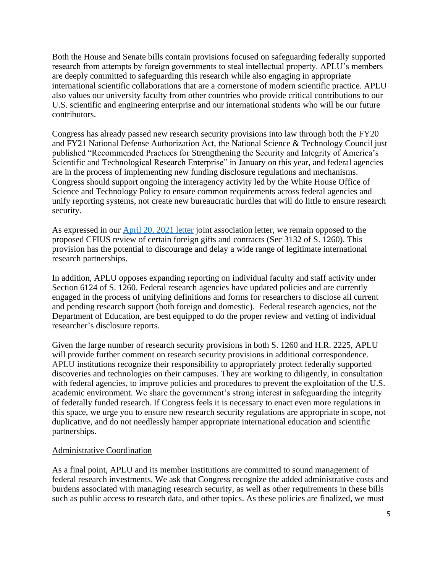Both the House and Senate bills contain provisions focused on safeguarding federally supported research from attempts by foreign governments to steal intellectual property. APLU's members are deeply committed to safeguarding this research while also engaging in appropriate international scientific collaborations that are a cornerstone of modern scientific practice. APLU also values our university faculty from other countries who provide critical contributions to our U.S. scientific and engineering enterprise and our international students who will be our future contributors.

Congress has already passed new research security provisions into law through both the FY20 and FY21 National Defense Authorization Act, the National Science & Technology Council just published "Recommended Practices for Strengthening the Security and Integrity of America's Scientific and Technological Research Enterprise" in January on this year, and federal agencies are in the process of implementing new funding disclosure regulations and mechanisms. Congress should support ongoing the interagency activity led by the White House Office of Science and Technology Policy to ensure common requirements across federal agencies and unify reporting systems, not create new bureaucratic hurdles that will do little to ensure research security.

As expressed in our [April 20, 2021 letter](https://www.aplu.org/members/councils/governmental-affairs/CGA-library/associations-letter-on-strategic-competition-act/file) joint association letter, we remain opposed to the proposed CFIUS review of certain foreign gifts and contracts (Sec 3132 of S. 1260). This provision has the potential to discourage and delay a wide range of legitimate international research partnerships.

In addition, APLU opposes expanding reporting on individual faculty and staff activity under Section 6124 of S. 1260. Federal research agencies have updated policies and are currently engaged in the process of unifying definitions and forms for researchers to disclose all current and pending research support (both foreign and domestic). Federal research agencies, not the Department of Education, are best equipped to do the proper review and vetting of individual researcher's disclosure reports.

Given the large number of research security provisions in both S. 1260 and H.R. 2225, APLU will provide further comment on research security provisions in additional correspondence. APLU institutions recognize their responsibility to appropriately protect federally supported discoveries and technologies on their campuses. They are working to diligently, in consultation with federal agencies, to improve policies and procedures to prevent the exploitation of the U.S. academic environment. We share the government's strong interest in safeguarding the integrity of federally funded research. If Congress feels it is necessary to enact even more regulations in this space, we urge you to ensure new research security regulations are appropriate in scope, not duplicative, and do not needlessly hamper appropriate international education and scientific partnerships.

### Administrative Coordination

As a final point, APLU and its member institutions are committed to sound management of federal research investments. We ask that Congress recognize the added administrative costs and burdens associated with managing research security, as well as other requirements in these bills such as public access to research data, and other topics. As these policies are finalized, we must